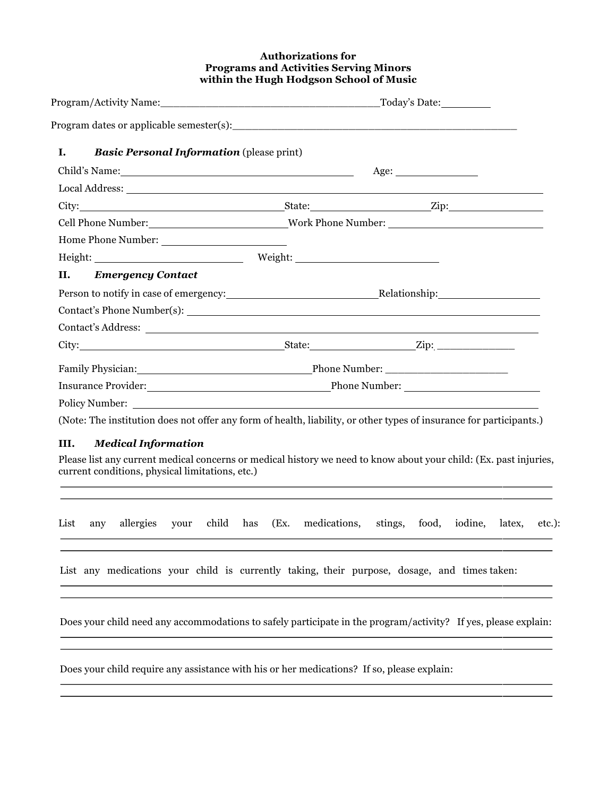### **Authorizations for Programs and Activities Serving Minors within the Hugh Hodgson School of Music**

| <b>Basic Personal Information</b> (please print)<br>Ι.                                |                                                                                                                                                                                                                               |                                                                    |  |
|---------------------------------------------------------------------------------------|-------------------------------------------------------------------------------------------------------------------------------------------------------------------------------------------------------------------------------|--------------------------------------------------------------------|--|
|                                                                                       | Age:                                                                                                                                                                                                                          |                                                                    |  |
|                                                                                       |                                                                                                                                                                                                                               |                                                                    |  |
|                                                                                       |                                                                                                                                                                                                                               |                                                                    |  |
|                                                                                       | Cell Phone Number: Work Phone Number:                                                                                                                                                                                         |                                                                    |  |
|                                                                                       |                                                                                                                                                                                                                               |                                                                    |  |
|                                                                                       |                                                                                                                                                                                                                               |                                                                    |  |
| <b>Emergency Contact</b><br>II.                                                       |                                                                                                                                                                                                                               |                                                                    |  |
|                                                                                       |                                                                                                                                                                                                                               | Person to notify in case of emergency: Relationship: Relationship: |  |
|                                                                                       |                                                                                                                                                                                                                               |                                                                    |  |
|                                                                                       |                                                                                                                                                                                                                               |                                                                    |  |
|                                                                                       | City: City: City: City: City: City: City: City: City: City: City: City: City: City: City: City: City: City: City: City: City: City: City: City: City: City: City: City: City: City: City: City: City: City: City: City: City: |                                                                    |  |
|                                                                                       |                                                                                                                                                                                                                               |                                                                    |  |
|                                                                                       |                                                                                                                                                                                                                               | Insurance Provider: The Phone Number: Phone Number:                |  |
|                                                                                       | Policy Number:                                                                                                                                                                                                                |                                                                    |  |
|                                                                                       | (Note: The institution does not offer any form of health, liability, or other types of insurance for participants.)                                                                                                           |                                                                    |  |
| III.<br><b>Medical Information</b><br>current conditions, physical limitations, etc.) | Please list any current medical concerns or medical history we need to know about your child: (Ex. past injuries,                                                                                                             |                                                                    |  |
| List<br>allergies<br>your<br>any                                                      | child has<br>medications,<br>(EX.<br>stings,                                                                                                                                                                                  | food, iodine, latex,<br>etc.):                                     |  |
|                                                                                       | List any medications your child is currently taking, their purpose, dosage, and times taken:                                                                                                                                  |                                                                    |  |
|                                                                                       | Does your child need any accommodations to safely participate in the program/activity? If yes, please explain:                                                                                                                |                                                                    |  |
|                                                                                       | Does your child require any assistance with his or her medications? If so, please explain:                                                                                                                                    |                                                                    |  |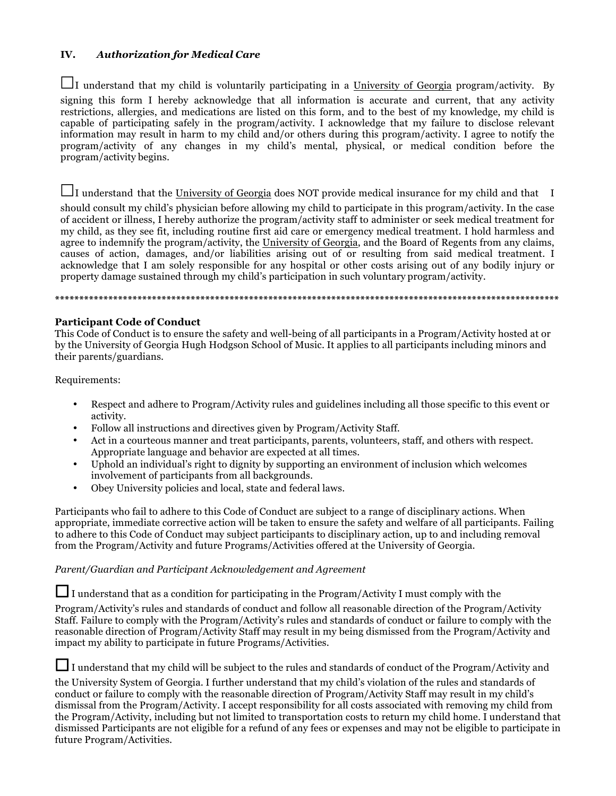## **IV.** *Authorization for Medical Care*

**☐**I understand that my child is voluntarily participating in a University of Georgia program/activity. By signing this form I hereby acknowledge that all information is accurate and current, that any activity restrictions, allergies, and medications are listed on this form, and to the best of my knowledge, my child is capable of participating safely in the program/activity. I acknowledge that my failure to disclose relevant information may result in harm to my child and/or others during this program/activity. I agree to notify the program/activity of any changes in my child's mental, physical, or medical condition before the program/activity begins.

**☐**I understand that the University of Georgia does NOT provide medical insurance for my child and that I

should consult my child's physician before allowing my child to participate in this program/activity. In the case of accident or illness, I hereby authorize the program/activity staff to administer or seek medical treatment for my child, as they see fit, including routine first aid care or emergency medical treatment. I hold harmless and agree to indemnify the program/activity, the University of Georgia, and the Board of Regents from any claims, causes of action, damages, and/or liabilities arising out of or resulting from said medical treatment. I acknowledge that I am solely responsible for any hospital or other costs arising out of any bodily injury or property damage sustained through my child's participation in such voluntary program/activity.

**\*\*\*\*\*\*\*\*\*\*\*\*\*\*\*\*\*\*\*\*\*\*\*\*\*\*\*\*\*\*\*\*\*\*\*\*\*\*\*\*\*\*\*\*\*\*\*\*\*\*\*\*\*\*\*\*\*\*\*\*\*\*\*\*\*\*\*\*\*\*\*\*\*\*\*\*\*\*\*\*\*\*\*\*\*\*\*\*\*\*\*\*\*\*\*\*\*\*\*\*\*\*\*\***

### **Participant Code of Conduct**

This Code of Conduct is to ensure the safety and well-being of all participants in a Program/Activity hosted at or by the University of Georgia Hugh Hodgson School of Music. It applies to all participants including minors and their parents/guardians.

Requirements:

- Respect and adhere to Program/Activity rules and guidelines including all those specific to this event or activity.
- Follow all instructions and directives given by Program/Activity Staff.
- Act in a courteous manner and treat participants, parents, volunteers, staff, and others with respect. Appropriate language and behavior are expected at all times.
- Uphold an individual's right to dignity by supporting an environment of inclusion which welcomes involvement of participants from all backgrounds.
- Obey University policies and local, state and federal laws.

Participants who fail to adhere to this Code of Conduct are subject to a range of disciplinary actions. When appropriate, immediate corrective action will be taken to ensure the safety and welfare of all participants. Failing to adhere to this Code of Conduct may subject participants to disciplinary action, up to and including removal from the Program/Activity and future Programs/Activities offered at the University of Georgia.

# *Parent/Guardian and Participant Acknowledgement and Agreement*

**☐**I understand that as a condition for participating in the Program/Activity I must comply with the

Program/Activity's rules and standards of conduct and follow all reasonable direction of the Program/Activity Staff. Failure to comply with the Program/Activity's rules and standards of conduct or failure to comply with the reasonable direction of Program/Activity Staff may result in my being dismissed from the Program/Activity and impact my ability to participate in future Programs/Activities.

**□**I understand that my child will be subject to the rules and standards of conduct of the Program/Activity and

the University System of Georgia. I further understand that my child's violation of the rules and standards of conduct or failure to comply with the reasonable direction of Program/Activity Staff may result in my child's dismissal from the Program/Activity. I accept responsibility for all costs associated with removing my child from the Program/Activity, including but not limited to transportation costs to return my child home. I understand that dismissed Participants are not eligible for a refund of any fees or expenses and may not be eligible to participate in future Program/Activities.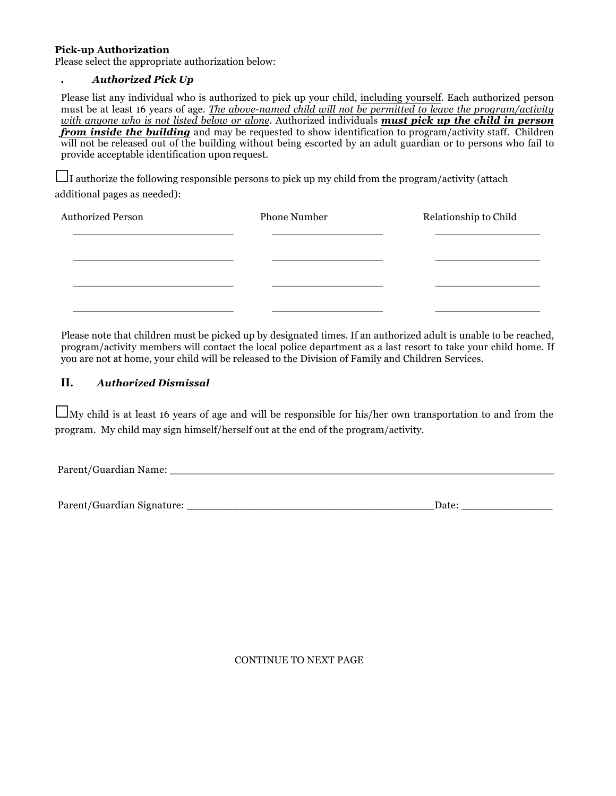#### **Pick-up Authorization**

Please select the appropriate authorization below:

#### **.** *Authorized Pick Up*

Please list any individual who is authorized to pick up your child, including yourself. Each authorized person must be at least 16 years of age. *The above-named child will not be permitted to leave the program/activity with anyone who is not listed below or alone.* Authorized individuals *must pick up the child in person from inside the building* and may be requested to show identification to program/activity staff. Children will not be released out of the building without being escorted by an adult guardian or to persons who fail to provide acceptable identification uponrequest.

**☐**I authorize the following responsible persons to pick up my child from the program/activity (attach additional pages as needed):

| Authorized Person | <b>Phone Number</b> | Relationship to Child |
|-------------------|---------------------|-----------------------|
|                   |                     |                       |
|                   |                     |                       |
|                   |                     |                       |
|                   |                     |                       |

Please note that children must be picked up by designated times. If an authorized adult is unable to be reached, program/activity members will contact the local police department as a last resort to take your child home. If you are not at home, your child will be released to the Division of Family and Children Services.

### **II.** *Authorized Dismissal*

**☐**My child is at least 16 years of age and will be responsible for his/her own transportation to and from the program. My child may sign himself/herself out at the end of the program/activity.

Parent/Guardian Name:

Parent/Guardian Signature: \_\_\_\_\_\_\_\_\_\_\_\_\_\_\_\_\_\_\_\_\_\_\_\_\_\_\_\_\_\_\_\_\_\_\_\_\_\_Date: \_\_\_\_\_\_\_\_\_\_\_\_\_\_

CONTINUE TO NEXT PAGE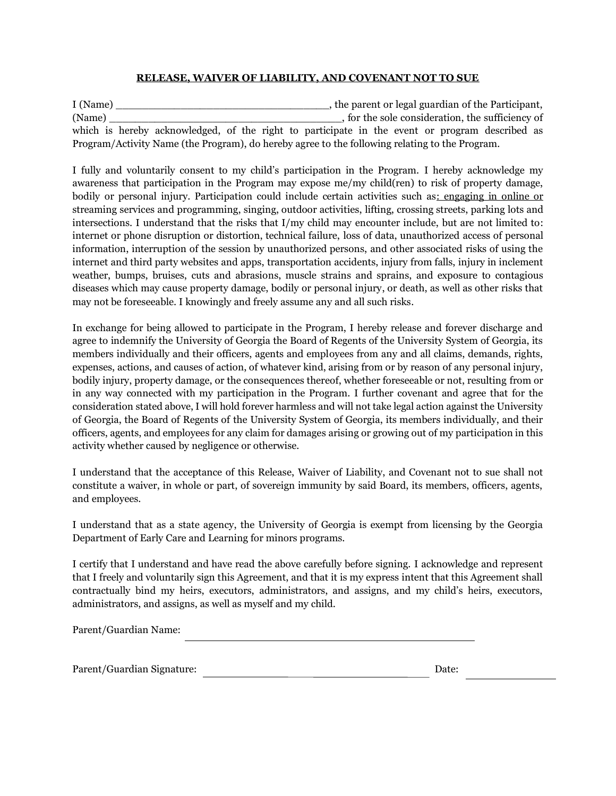## **RELEASE, WAIVER OF LIABILITY, AND COVENANT NOT TO SUE**

I (Name) \_\_\_\_\_\_\_\_\_\_\_\_\_\_\_\_\_\_\_\_\_\_\_\_\_\_\_\_\_\_\_\_\_, the parent or legal guardian of the Participant, (Name) which consider the sole consideration, the sufficiency of which is hereby acknowledged, of the right to participate in the event or program described as Program/Activity Name (the Program), do hereby agree to the following relating to the Program.

I fully and voluntarily consent to my child's participation in the Program. I hereby acknowledge my awareness that participation in the Program may expose me/my child(ren) to risk of property damage, bodily or personal injury. Participation could include certain activities such as: engaging in online or streaming services and programming, singing, outdoor activities, lifting, crossing streets, parking lots and intersections. I understand that the risks that I/my child may encounter include, but are not limited to: internet or phone disruption or distortion, technical failure, loss of data, unauthorized access of personal information, interruption of the session by unauthorized persons, and other associated risks of using the internet and third party websites and apps, transportation accidents, injury from falls, injury in inclement weather, bumps, bruises, cuts and abrasions, muscle strains and sprains, and exposure to contagious diseases which may cause property damage, bodily or personal injury, or death, as well as other risks that may not be foreseeable. I knowingly and freely assume any and all such risks.

In exchange for being allowed to participate in the Program, I hereby release and forever discharge and agree to indemnify the University of Georgia the Board of Regents of the University System of Georgia, its members individually and their officers, agents and employees from any and all claims, demands, rights, expenses, actions, and causes of action, of whatever kind, arising from or by reason of any personal injury, bodily injury, property damage, or the consequences thereof, whether foreseeable or not, resulting from or in any way connected with my participation in the Program. I further covenant and agree that for the consideration stated above, I will hold forever harmless and will not take legal action against the University of Georgia, the Board of Regents of the University System of Georgia, its members individually, and their officers, agents, and employees for any claim for damages arising or growing out of my participation in this activity whether caused by negligence or otherwise.

I understand that the acceptance of this Release, Waiver of Liability, and Covenant not to sue shall not constitute a waiver, in whole or part, of sovereign immunity by said Board, its members, officers, agents, and employees.

I understand that as a state agency, the University of Georgia is exempt from licensing by the Georgia Department of Early Care and Learning for minors programs.

I certify that I understand and have read the above carefully before signing. I acknowledge and represent that I freely and voluntarily sign this Agreement, and that it is my express intent that this Agreement shall contractually bind my heirs, executors, administrators, and assigns, and my child's heirs, executors, administrators, and assigns, as well as myself and my child.

Parent/Guardian Name:

Parent/Guardian Signature: Date: